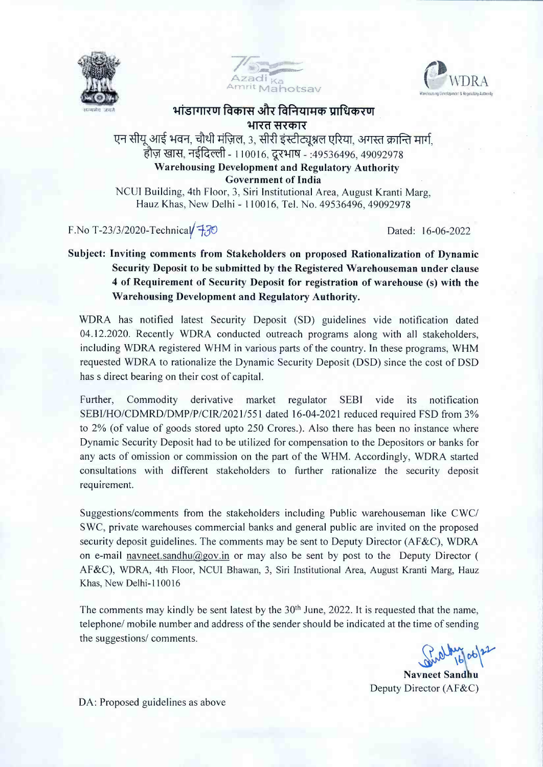





## <u>भांडागारण विकास और विनियामक प्राधिकरण</u> **1412**<br>भारत सरकार

एन सीयू आई भवन, चौथी मंज़िल, 3, सीरी इंस्टीट्यूश्नल एरिया, अगस्त क्रान्ति मार्ग, हौज़ खास, नईदिल्ली - 110016, दूरभाष - :49536496, 49092978 **Warehousing Development and Regulatory Authority Government of India**

NCUI Building, 4th Floor, 3, Siri Institutional Area, August Kranti Marg, Hauz Khas, New Delhi - 110016, Tel. No. 49536496, 49092978

F.No T-23/3/2020-Technical $\sqrt{7}$ 

Dated: 16-06-2022

## **Subject: Inviting comments from Stakeholders on proposed Rationalization of Dynamic Security Deposit to be submitted by the Registered Warehouseman under clause <sup>4</sup> of Requirement of Security Deposit for registration of warehouse (s) with the Warehousing Development and Regulatory Authority.**

WDRA has notified latest Security Deposit (SD) guidelines vide notification dated 04.12.2020. Recently WDRA conducted outreach programs along with all stakeholders, including WDRA registered WHM in various parts of the country. In these programs, WHM requested WDRA to rationalize the Dynamic Security Deposit (DSD) since the cost of DSD has s direct bearing on their cost of capital.

Further, Commodity derivative market regulator SEBI vide its notification SEBI/HO/CDMRD/DMP/P/CIR/2021/551 dated 16-04-2021 reduced required FSD from 3% to 2% (of value of goods stored upto 250 Crores.). Also there has been no instance where Dynamic Security Deposit had to be utilized for compensation to the Depositors or banks for any acts of omission or commission on the part of the WHM. Accordingly, WDRA started consultations with different stakeholders to further rationalize the security deposit requirement.

Suggestions/comments from the stakeholders including Public warehouseman like CWC/ SWC, private warehouses commercial banks and general public are invited on the proposed security deposit guidelines. The comments may be sent to Deputy Director (AF&C), WDRA on e-mail navneet.sandhu@gov.in or may also be sent by post to the Deputy Director ( AF&C), WDRA, 4th Floor, NCUI Bhawan, 3, Siri Institutional Area, August Kranti Marg, Hauz Khas, New Delhi-110016

The comments may kindly be sent latest by the  $30<sup>th</sup>$  June, 2022. It is requested that the name, telephone/ mobile number and address of the sender should be indicated at the time of sending the suggestions/ comments.

Bund 16 06 22

Deputy Director (AF&C)

DA: Proposed guidelines as above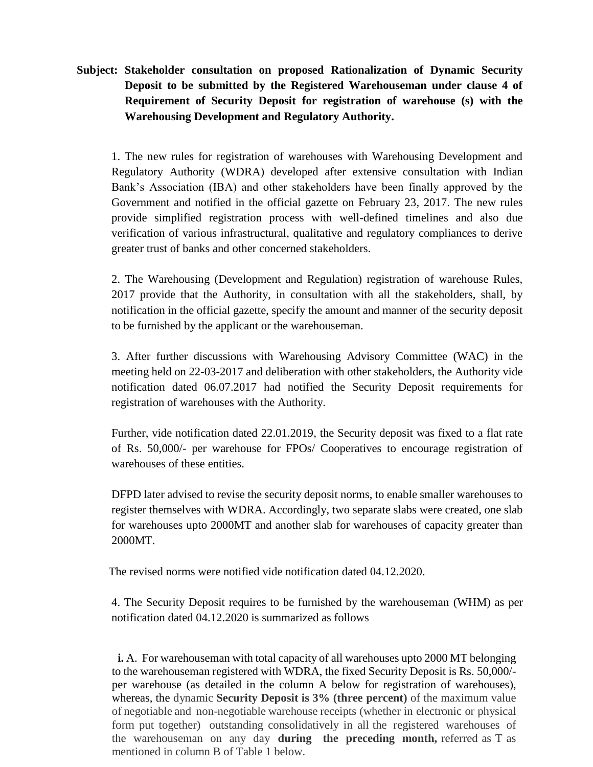**Subject: Stakeholder consultation on proposed Rationalization of Dynamic Security Deposit to be submitted by the Registered Warehouseman under clause 4 of Requirement of Security Deposit for registration of warehouse (s) with the Warehousing Development and Regulatory Authority.**

 1. The new rules for registration of warehouses with Warehousing Development and Regulatory Authority (WDRA) developed after extensive consultation with Indian Bank's Association (IBA) and other stakeholders have been finally approved by the Government and notified in the official gazette on February 23, 2017. The new rules provide simplified registration process with well-defined timelines and also due verification of various infrastructural, qualitative and regulatory compliances to derive greater trust of banks and other concerned stakeholders.

 2. The Warehousing (Development and Regulation) registration of warehouse Rules, 2017 provide that the Authority, in consultation with all the stakeholders, shall, by notification in the official gazette, specify the amount and manner of the security deposit to be furnished by the applicant or the warehouseman.

 3. After further discussions with Warehousing Advisory Committee (WAC) in the meeting held on 22-03-2017 and deliberation with other stakeholders, the Authority vide notification dated 06.07.2017 had notified the Security Deposit requirements for registration of warehouses with the Authority.

 Further, vide notification dated 22.01.2019, the Security deposit was fixed to a flat rate of Rs. 50,000/- per warehouse for FPOs/ Cooperatives to encourage registration of warehouses of these entities.

 DFPD later advised to revise the security deposit norms, to enable smaller warehouses to register themselves with WDRA. Accordingly, two separate slabs were created, one slab for warehouses upto 2000MT and another slab for warehouses of capacity greater than 2000MT.

The revised norms were notified vide notification dated 04.12.2020.

 4. The Security Deposit requires to be furnished by the warehouseman (WHM) as per notification dated 04.12.2020 is summarized as follows

**i.** A. For warehouseman with total capacity of all warehouses upto 2000 MT belonging to the warehouseman registered with WDRA, the fixed Security Deposit is Rs. 50,000/ per warehouse (as detailed in the column A below for registration of warehouses), whereas, the dynamic **Security Deposit is 3% (three percent)** of the maximum value of negotiable and non-negotiable warehouse receipts (whether in electronic or physical form put together) outstanding consolidatively in all the registered warehouses of the warehouseman on any day **during the preceding month,** referred as T as mentioned in column B of Table 1 below.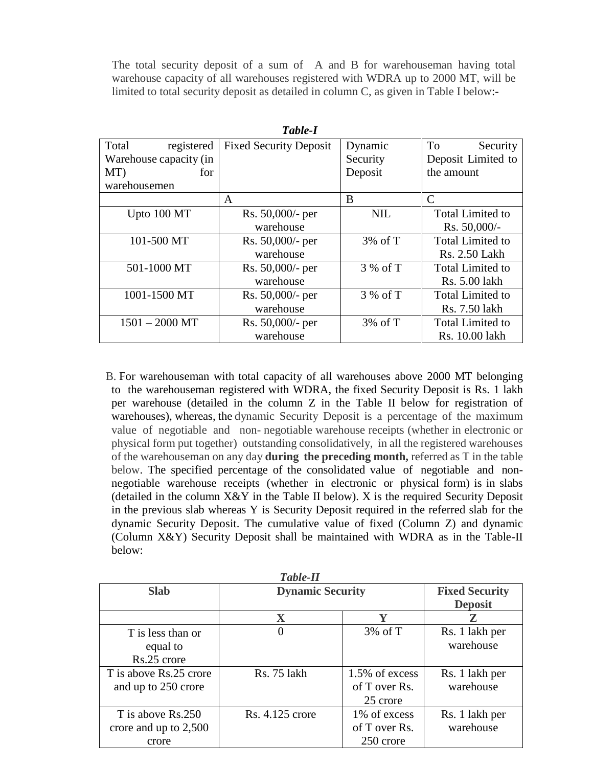The total security deposit of a sum of A and B for warehouseman having total warehouse capacity of all warehouses registered with WDRA up to 2000 MT, will be limited to total security deposit as detailed in column C, as given in Table I below:-

| Table-I                |                               |            |                         |
|------------------------|-------------------------------|------------|-------------------------|
| Total<br>registered    | <b>Fixed Security Deposit</b> | Dynamic    | To<br>Security          |
| Warehouse capacity (in |                               | Security   | Deposit Limited to      |
| MT)<br>for             |                               | Deposit    | the amount              |
| warehousemen           |                               |            |                         |
|                        | A                             | B          | C                       |
| Upto 100 MT            | Rs. 50,000/- per              | <b>NIL</b> | <b>Total Limited to</b> |
|                        | warehouse                     |            | Rs. 50,000/-            |
| 101-500 MT             | Rs. 50,000/- per              | $3\%$ of T | <b>Total Limited to</b> |
|                        | warehouse                     |            | Rs. 2.50 Lakh           |
| 501-1000 MT            | Rs. 50,000/- per              | 3 % of T   | <b>Total Limited to</b> |
|                        | warehouse                     |            | Rs. 5.00 lakh           |
| 1001-1500 MT           | Rs. 50,000/- per              | 3 % of T   | <b>Total Limited to</b> |
|                        | warehouse                     |            | Rs. 7.50 lakh           |
| $1501 - 2000$ MT       | Rs. 50,000/- per              | $3\%$ of T | <b>Total Limited to</b> |
|                        | warehouse                     |            | Rs. 10.00 lakh          |

 B. For warehouseman with total capacity of all warehouses above 2000 MT belonging to the warehouseman registered with WDRA, the fixed Security Deposit is Rs. 1 lakh per warehouse (detailed in the column Z in the Table II below for registration of warehouses), whereas, the dynamic Security Deposit is a percentage of the maximum value of negotiable and non- negotiable warehouse receipts (whether in electronic or physical form put together) outstanding consolidatively, in all the registered warehouses of the warehouseman on any day **during the preceding month,** referred as T in the table below. The specified percentage of the consolidated value of negotiable and nonnegotiable warehouse receipts (whether in electronic or physical form) is in slabs (detailed in the column  $X \& Y$  in the Table II below). X is the required Security Deposit in the previous slab whereas Y is Security Deposit required in the referred slab for the dynamic Security Deposit. The cumulative value of fixed (Column Z) and dynamic (Column X&Y) Security Deposit shall be maintained with WDRA as in the Table-II below:

| 1 ave-11                |                         |                     |                       |
|-------------------------|-------------------------|---------------------|-----------------------|
| <b>Slab</b>             | <b>Dynamic Security</b> |                     | <b>Fixed Security</b> |
|                         |                         |                     | <b>Deposit</b>        |
|                         | $\mathbf X$             | Y                   | Z                     |
| T is less than or       |                         | $3\% \text{ of } T$ | Rs. 1 lakh per        |
| equal to                |                         |                     | warehouse             |
| Rs.25 crore             |                         |                     |                       |
| T is above Rs.25 crore  | Rs. 75 lakh             | 1.5% of excess      | Rs. 1 lakh per        |
| and up to 250 crore     |                         | of T over Rs.       | warehouse             |
|                         |                         | 25 crore            |                       |
| T is above Rs.250       | Rs. 4.125 crore         | 1% of excess        | Rs. 1 lakh per        |
| crore and up to $2,500$ |                         | of T over Rs.       | warehouse             |
| crore                   |                         | 250 crore           |                       |

*Table-II*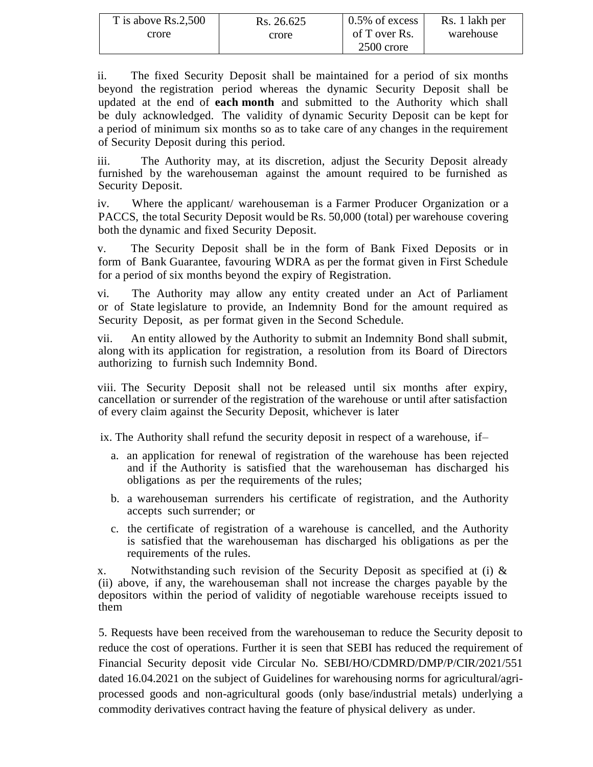| T is above Rs.2,500 | Rs. 26.625 | $0.5\%$ of excess | Rs. 1 lakh per |
|---------------------|------------|-------------------|----------------|
| crore               | crore      | of T over Rs.     | warehouse      |
|                     |            | 2500 crore        |                |

ii. The fixed Security Deposit shall be maintained for a period of six months beyond the registration period whereas the dynamic Security Deposit shall be updated at the end of **each month** and submitted to the Authority which shall be duly acknowledged. The validity of dynamic Security Deposit can be kept for a period of minimum six months so as to take care of any changes in the requirement of Security Deposit during this period.

iii. The Authority may, at its discretion, adjust the Security Deposit already furnished by the warehouseman against the amount required to be furnished as Security Deposit.

iv. Where the applicant/ warehouseman is a Farmer Producer Organization or a PACCS, the total Security Deposit would be Rs. 50,000 (total) per warehouse covering both the dynamic and fixed Security Deposit.

v. The Security Deposit shall be in the form of Bank Fixed Deposits or in form of Bank Guarantee, favouring WDRA as per the format given in First Schedule for a period of six months beyond the expiry of Registration.

vi. The Authority may allow any entity created under an Act of Parliament or of State legislature to provide, an Indemnity Bond for the amount required as Security Deposit, as per format given in the Second Schedule.

vii. An entity allowed by the Authority to submit an Indemnity Bond shall submit, along with its application for registration, a resolution from its Board of Directors authorizing to furnish such Indemnity Bond.

viii. The Security Deposit shall not be released until six months after expiry, cancellation or surrender of the registration of the warehouse or until after satisfaction of every claim against the Security Deposit, whichever is later

ix. The Authority shall refund the security deposit in respect of a warehouse, if–

- a. an application for renewal of registration of the warehouse has been rejected and if the Authority is satisfied that the warehouseman has discharged his obligations as per the requirements of the rules;
- b. a warehouseman surrenders his certificate of registration, and the Authority accepts such surrender; or
- c. the certificate of registration of a warehouse is cancelled, and the Authority is satisfied that the warehouseman has discharged his obligations as per the requirements of the rules.

x. Notwithstanding such revision of the Security Deposit as specified at (i) & (ii) above, if any, the warehouseman shall not increase the charges payable by the depositors within the period of validity of negotiable warehouse receipts issued to them

5. Requests have been received from the warehouseman to reduce the Security deposit to reduce the cost of operations. Further it is seen that SEBI has reduced the requirement of Financial Security deposit vide Circular No. SEBI/HO/CDMRD/DMP/P/CIR/2021/551 dated 16.04.2021 on the subject of Guidelines for warehousing norms for agricultural/agriprocessed goods and non-agricultural goods (only base/industrial metals) underlying a commodity derivatives contract having the feature of physical delivery as under.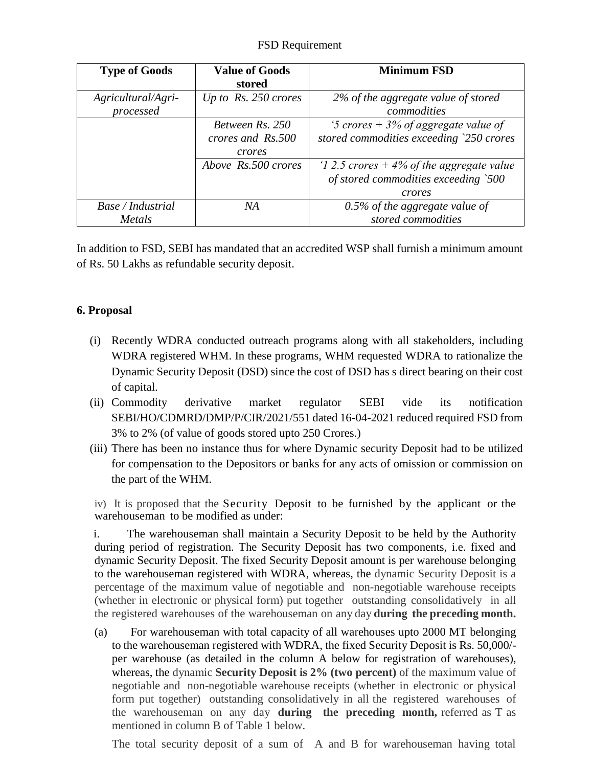## FSD Requirement

| <b>Type of Goods</b>            | <b>Value of Goods</b><br>stored                | <b>Minimum FSD</b>                                                                            |
|---------------------------------|------------------------------------------------|-----------------------------------------------------------------------------------------------|
| Agricultural/Agri-<br>processed | Up to Rs. 250 crores                           | 2% of the aggregate value of stored<br>commodities                                            |
|                                 | Between Rs. 250<br>crores and Rs.500<br>crores | '5 crores $+$ 3% of aggregate value of<br>stored commodities exceeding `250 crores            |
|                                 | Above Rs.500 crores                            | '1 2.5 crores $+4\%$ of the aggregate value<br>of stored commodities exceeding `500<br>crores |
| Base / Industrial<br>Metals     | NА                                             | $0.5\%$ of the aggregate value of<br>stored commodities                                       |

In addition to FSD, SEBI has mandated that an accredited WSP shall furnish a minimum amount of Rs. 50 Lakhs as refundable security deposit.

## **6. Proposal**

- (i) Recently WDRA conducted outreach programs along with all stakeholders, including WDRA registered WHM. In these programs, WHM requested WDRA to rationalize the Dynamic Security Deposit (DSD) since the cost of DSD has s direct bearing on their cost of capital.
- (ii) Commodity derivative market regulator SEBI vide its notification SEBI/HO/CDMRD/DMP/P/CIR/2021/551 dated 16-04-2021 reduced required FSD from 3% to 2% (of value of goods stored upto 250 Crores.)
- (iii) There has been no instance thus for where Dynamic security Deposit had to be utilized for compensation to the Depositors or banks for any acts of omission or commission on the part of the WHM.

iv) It is proposed that the Security Deposit to be furnished by the applicant or the warehouseman to be modified as under:

i. The warehouseman shall maintain a Security Deposit to be held by the Authority during period of registration. The Security Deposit has two components, i.e. fixed and dynamic Security Deposit. The fixed Security Deposit amount is per warehouse belonging to the warehouseman registered with WDRA, whereas, the dynamic Security Deposit is a percentage of the maximum value of negotiable and non-negotiable warehouse receipts (whether in electronic or physical form) put together outstanding consolidatively in all the registered warehouses of the warehouseman on any day **during the preceding month.**

(a) For warehouseman with total capacity of all warehouses upto 2000 MT belonging to the warehouseman registered with WDRA, the fixed Security Deposit is Rs. 50,000/ per warehouse (as detailed in the column A below for registration of warehouses), whereas, the dynamic **Security Deposit is 2% (two percent)** of the maximum value of negotiable and non-negotiable warehouse receipts (whether in electronic or physical form put together) outstanding consolidatively in all the registered warehouses of the warehouseman on any day **during the preceding month,** referred as T as mentioned in column B of Table 1 below.

The total security deposit of a sum of A and B for warehouseman having total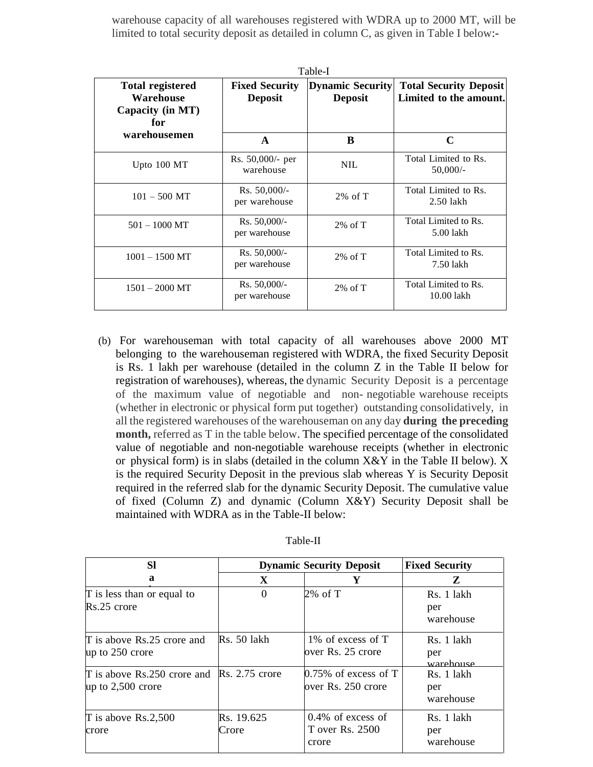warehouse capacity of all warehouses registered with WDRA up to 2000 MT, will be limited to total security deposit as detailed in column C, as given in Table I below:-

| Table-I                                                         |                                         |                                           |                                                         |
|-----------------------------------------------------------------|-----------------------------------------|-------------------------------------------|---------------------------------------------------------|
| <b>Total registered</b><br>Warehouse<br>Capacity (in MT)<br>for | <b>Fixed Security</b><br><b>Deposit</b> | <b>Dynamic Security</b><br><b>Deposit</b> | <b>Total Security Deposit</b><br>Limited to the amount. |
| warehousemen                                                    | $\mathbf{A}$                            | B                                         | $\mathbf C$                                             |
| Upto $100 \mathrm{MT}$                                          | Rs. 50,000/- per<br>warehouse           | <b>NIL</b>                                | Total Limited to Rs.<br>$50,000/-$                      |
| $101 - 500$ MT                                                  | $Rs. 50,000/$ -<br>per warehouse        | $2\%$ of T                                | Total Limited to Rs.<br>$2.50$ lakh                     |
| $501 - 1000$ MT                                                 | $Rs. 50,000/-$<br>per warehouse         | $2\% \text{ of } T$                       | Total Limited to Rs.<br>5.00 lakh                       |
| $1001 - 1500$ MT                                                | $Rs. 50,000/-$<br>per warehouse         | $2\%$ of T                                | Total Limited to Rs.<br>7.50 lakh                       |
| $1501 - 2000$ MT                                                | $Rs. 50,000/$ -<br>per warehouse        | $2\% \text{ of } T$                       | Total Limited to Rs.<br>10.00 lakh                      |

(b) For warehouseman with total capacity of all warehouses above 2000 MT belonging to the warehouseman registered with WDRA, the fixed Security Deposit is Rs. 1 lakh per warehouse (detailed in the column Z in the Table II below for registration of warehouses), whereas, the dynamic Security Deposit is a percentage of the maximum value of negotiable and non- negotiable warehouse receipts (whether in electronic or physical form put together) outstanding consolidatively, in all the registered warehouses of the warehouseman on any day **during the preceding month,** referred as T in the table below. The specified percentage of the consolidated value of negotiable and non-negotiable warehouse receipts (whether in electronic or physical form) is in slabs (detailed in the column  $X \& Y$  in the Table II below). X is the required Security Deposit in the previous slab whereas Y is Security Deposit required in the referred slab for the dynamic Security Deposit. The cumulative value of fixed (Column Z) and dynamic (Column X&Y) Security Deposit shall be maintained with WDRA as in the Table-II below:

| <b>SI</b>                                                                | <b>Dynamic Security Deposit</b> |                                                  | <b>Fixed Security</b>          |  |
|--------------------------------------------------------------------------|---------------------------------|--------------------------------------------------|--------------------------------|--|
| a                                                                        | X                               | Y                                                | Z                              |  |
| $\Gamma$ is less than or equal to<br>$Rs.25$ crore                       | $\Omega$                        | 2% of T                                          | Rs. 1 lakh<br>per<br>warehouse |  |
| $\Gamma$ is above Rs.25 crore and<br>up to 250 crore                     | $Rs. 50$ lakh                   | 1\% of excess of T<br>over Rs. 25 crore          | Rs. 1 lakh<br>per<br>warehouse |  |
| $\Gamma$ is above Rs.250 crore and Rs. 2.75 crore<br>up to $2,500$ crore |                                 | $0.75\%$ of excess of T<br>over Rs. 250 crore    | Rs. 1 lakh<br>per<br>warehouse |  |
| $T$ is above Rs.2,500<br>crore                                           | Rs. 19.625<br>Crore             | $0.4\%$ of excess of<br>T over Rs. 2500<br>crore | Rs. 1 lakh<br>per<br>warehouse |  |